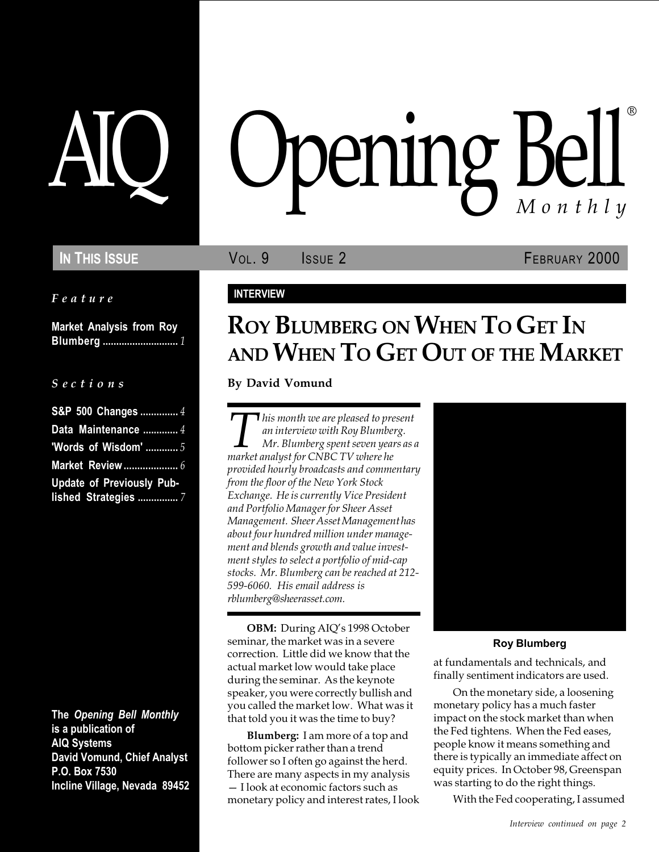Feature

Market Analysis from Roy Blumberg ............................ 1

#### S e c t i o n s

| S&P 500 Changes  4               |
|----------------------------------|
| Data Maintenance  4              |
| 'Words of Wisdom' $5$            |
|                                  |
| <b>Update of Previously Pub-</b> |
| lished Strategies 7              |

The Opening Bell Monthly is a publication of AIQ Systems David Vomund, Chief Analyst P.O. Box 7530 Incline Village, Nevada 89452

# pening Bell ®

IN THIS ISSUE **VOL. 9** ISSUE 2 **FEBRUARY 2000** 

#### INTERVIEW

## ROY BLUMBERG ON WHEN TO GET IN AND WHEN TO GET OUT OF THE MARKET

#### By David Vomund

This month we are pleased to present<br>an interview with Roy Blumberg.<br>Mr. Blumberg spent seven years as<br>market analyst for CNBC TV where he an interview with Roy Blumberg. Mr. Blumberg spent seven years as a market analyst for CNBC TV where he provided hourly broadcasts and commentary from the floor of the New York Stock Exchange. He is currently Vice President and Portfolio Manager for Sheer Asset Management. Sheer Asset Management has about four hundred million under management and blends growth and value investment styles to select a portfolio of mid-cap stocks. Mr. Blumberg can be reached at 212- 599-6060. His email address is rblumberg@sheerasset.com.

OBM: During AIQ's 1998 October seminar, the market was in a severe correction. Little did we know that the actual market low would take place during the seminar. As the keynote speaker, you were correctly bullish and you called the market low. What was it that told you it was the time to buy?

Blumberg: I am more of a top and bottom picker rather than a trend follower so I often go against the herd. There are many aspects in my analysis - I look at economic factors such as monetary policy and interest rates, I look



#### Roy Blumberg

at fundamentals and technicals, and finally sentiment indicators are used.

On the monetary side, a loosening monetary policy has a much faster impact on the stock market than when the Fed tightens. When the Fed eases, people know it means something and there is typically an immediate affect on equity prices. In October 98, Greenspan was starting to do the right things.

With the Fed cooperating, I assumed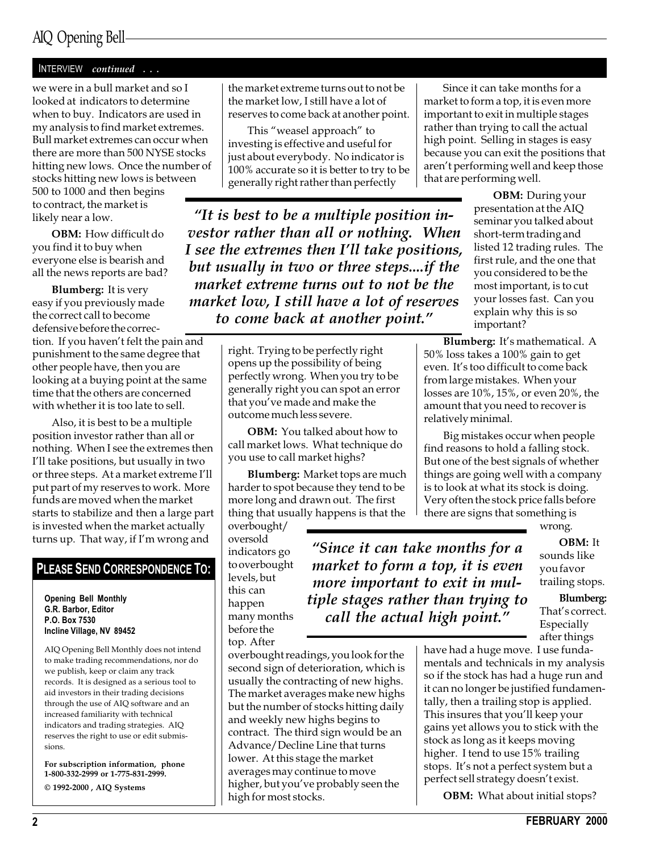## AIQ Opening Bell

#### INTERVIEW continued . . .

we were in a bull market and so I looked at indicators to determine when to buy. Indicators are used in my analysis to find market extremes. Bull market extremes can occur when there are more than 500 NYSE stocks hitting new lows. Once the number of stocks hitting new lows is between 500 to 1000 and then begins to contract, the market is likely near a low.

OBM: How difficult do you find it to buy when everyone else is bearish and all the news reports are bad?

Blumberg: It is very easy if you previously made the correct call to become defensive before the correc-

tion. If you haven't felt the pain and punishment to the same degree that other people have, then you are looking at a buying point at the same time that the others are concerned with whether it is too late to sell.

Also, it is best to be a multiple position investor rather than all or nothing. When I see the extremes then I'll take positions, but usually in two or three steps. At a market extreme I'll put part of my reserves to work. More funds are moved when the market starts to stabilize and then a large part is invested when the market actually turns up. That way, if I'm wrong and

#### PLEASE SEND CORRESPONDENCE TO:

Opening Bell Monthly G.R. Barbor, Editor P.O. Box 7530 Incline Village, NV 89452

AIQ Opening Bell Monthly does not intend to make trading recommendations, nor do we publish, keep or claim any track records. It is designed as a serious tool to aid investors in their trading decisions through the use of AIQ software and an increased familiarity with technical indicators and trading strategies. AIQ reserves the right to use or edit submissions.

For subscription information, phone 1-800-332-2999 or 1-775-831-2999. © 1992-2000 , AIQ Systems

the market extreme turns out to not be the market low, I still have a lot of reserves to come back at another point.

This "weasel approach" to investing is effective and useful for just about everybody. No indicator is 100% accurate so it is better to try to be generally right rather than perfectly

"It is best to be a multiple position investor rather than all or nothing. When I see the extremes then I'll take positions, but usually in two or three steps....if the market extreme turns out to not be the market low, I still have a lot of reserves to come back at another point.

> right. Trying to be perfectly right opens up the possibility of being perfectly wrong. When you try to be generally right you can spot an error that you've made and make the outcome much less severe.

OBM: You talked about how to call market lows. What technique do you use to call market highs?

Blumberg: Market tops are much harder to spot because they tend to be more long and drawn out. The first thing that usually happens is that the

overbought/ oversold indicators go to overbought levels, but this can happen many months before the top. After

Since it can take months for a market to form a top, it is even more important to exit in multiple stages rather than trying to call the actual high point.

Since it can take months for a market to form a top, it is even more important to exit in multiple stages rather than trying to call the actual high point. Selling in stages is easy because you can exit the positions that aren't performing well and keep those that are performing well.

> OBM: During your presentation at the AIQ seminar you talked about short-term trading and listed 12 trading rules. The first rule, and the one that you considered to be the most important, is to cut your losses fast. Can you explain why this is so important?

Blumberg: It's mathematical. A 50% loss takes a 100% gain to get even. It's too difficult to come back from large mistakes. When your losses are 10%, 15%, or even 20%, the amount that you need to recover is relatively minimal.

Big mistakes occur when people find reasons to hold a falling stock. But one of the best signals of whether things are going well with a company is to look at what its stock is doing. Very often the stock price falls before there are signs that something is

wrong.

OBM: It sounds like you favor trailing stops.

Blumberg: That's correct. Especially after things

overbought readings, you look for the second sign of deterioration, which is usually the contracting of new highs. The market averages make new highs but the number of stocks hitting daily and weekly new highs begins to contract. The third sign would be an Advance/Decline Line that turns lower. At this stage the market averages may continue to move higher, but you've probably seen the high for most stocks.

have had a huge move. I use fundamentals and technicals in my analysis so if the stock has had a huge run and it can no longer be justified fundamentally, then a trailing stop is applied. This insures that you'll keep your gains yet allows you to stick with the stock as long as it keeps moving higher. I tend to use 15% trailing stops. It's not a perfect system but a perfect sell strategy doesn't exist.

OBM: What about initial stops?

2 FEBRUARY 2000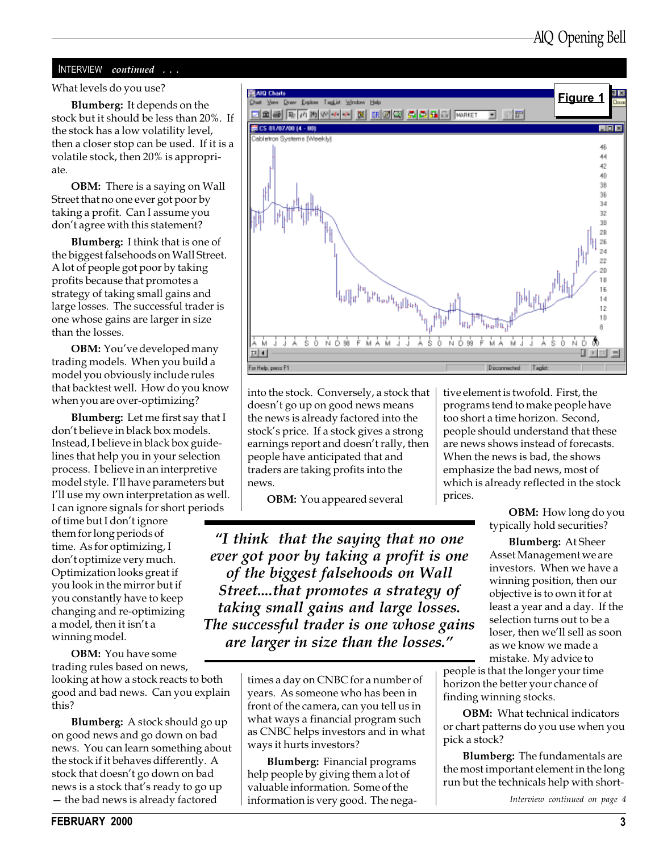#### INTERVIEW continued . . .

Blumberg: It depends on the stock but it should be less than 20%. If the stock has a low volatility level, then a closer stop can be used. If it is a volatile stock, then 20% is appropriate.

**OBM:** There is a saying on Wall Street that no one ever got poor by taking a profit. Can I assume you don't agree with this statement?

Blumberg: I think that is one of the biggest falsehoods on Wall Street. A lot of people got poor by taking profits because that promotes a strategy of taking small gains and large losses. The successful trader is one whose gains are larger in size than the losses.

OBM: You've developed many trading models. When you build a model you obviously include rules that backtest well. How do you know when you are over-optimizing?

Blumberg: Let me first say that I don't believe in black box models. Instead, I believe in black box guidelines that help you in your selection process. I believe in an interpretive model style. I'll have parameters but I'll use my own interpretation as well. I can ignore signals for short periods

of time but I don't ignore them for long periods of time. As for optimizing, I don't optimize very much. Optimization looks great if you look in the mirror but if you constantly have to keep changing and re-optimizing a model, then it isn't a winning model.

OBM: You have some trading rules based on news, looking at how a stock reacts to both good and bad news. Can you explain this?

Blumberg: A stock should go up on good news and go down on bad news. You can learn something about the stock if it behaves differently. A stock that doesn't go down on bad news is a stock that's ready to go up - the bad news is already factored



into the stock. Conversely, a stock that doesn't go up on good news means the news is already factored into the stock's price. If a stock gives a strong earnings report and doesn't rally, then people have anticipated that and traders are taking profits into the news.

**OBM:** You appeared several

I think that the saying that no one ever got poor by taking a profit is one of the biggest falsehoods on Wall Street....that promotes a strategy of taking small gains and large losses. The successful trader is one whose gains are larger in size than the losses.

> times a day on CNBC for a number of years. As someone who has been in front of the camera, can you tell us in what ways a financial program such as CNBC helps investors and in what ways it hurts investors?

Blumberg: Financial programs help people by giving them a lot of valuable information. Some of the information is very good. The negative element is twofold. First, the programs tend to make people have too short a time horizon. Second, people should understand that these are news shows instead of forecasts. When the news is bad, the shows emphasize the bad news, most of which is already reflected in the stock prices.

> OBM: How long do you typically hold securities?

> Blumberg: At Sheer Asset Management we are investors. When we have a winning position, then our objective is to own it for at least a year and a day. If the selection turns out to be a loser, then we'll sell as soon as we know we made a mistake. My advice to

people is that the longer your time horizon the better your chance of finding winning stocks.

OBM: What technical indicators or chart patterns do you use when you pick a stock?

Blumberg: The fundamentals are the most important element in the long run but the technicals help with short-

Interview continued on page 4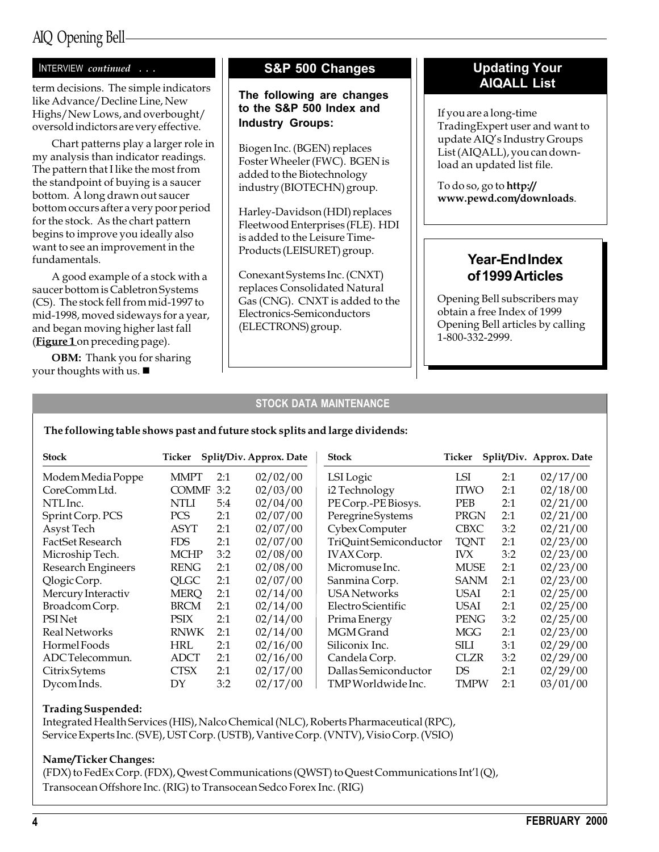## AIQ Opening Bell

#### INTERVIEW continued . . .

term decisions. The simple indicators like Advance/Decline Line, New Highs/New Lows, and overbought/ oversold indictors are very effective.

Chart patterns play a larger role in my analysis than indicator readings. The pattern that I like the most from the standpoint of buying is a saucer bottom. A long drawn out saucer bottom occurs after a very poor period for the stock. As the chart pattern begins to improve you ideally also want to see an improvement in the fundamentals.

A good example of a stock with a saucer bottom is Cabletron Systems (CS). The stock fell from mid-1997 to mid-1998, moved sideways for a year, and began moving higher last fall (Figure 1 on preceding page).

OBM: Thank you for sharing your thoughts with us.  $\blacksquare$ 

#### S&P 500 Changes

The following are changes to the S&P 500 Index and Industry Groups:

Biogen Inc. (BGEN) replaces Foster Wheeler (FWC). BGEN is added to the Biotechnology industry (BIOTECHN) group.

Harley-Davidson (HDI) replaces Fleetwood Enterprises (FLE). HDI is added to the Leisure Time-Products (LEISURET) group.

Conexant Systems Inc. (CNXT) replaces Consolidated Natural Gas (CNG). CNXT is added to the Electronics-Semiconductors (ELECTRONS) group.

#### Updating Your AIQALL List

If you are a long-time TradingExpert user and want to update AIQ's Industry Groups List (AIQALL), you can download an updated list file.

To do so, go to http:// www.pewd.com/downloads.

#### Year-End Index of 1999 Articles

Opening Bell subscribers may obtain a free Index of 1999 Opening Bell articles by calling 1-800-332-2999.

#### STOCK DATA MAINTENANCE

#### The following table shows past and future stock splits and large dividends:

| <b>Stock</b>       | Ticker       |     | Split/Div. Approx. Date | <b>Stock</b>          | Ticker      |     | Split/Div. Approx. Date |
|--------------------|--------------|-----|-------------------------|-----------------------|-------------|-----|-------------------------|
| Modem Media Poppe  | MMPT         | 2:1 | 02/02/00                | LSI Logic             | LSI         | 2:1 | 02/17/00                |
| CoreCommLtd.       | <b>COMMF</b> | 3:2 | 02/03/00                | i2 Technology         | <b>ITWO</b> | 2:1 | 02/18/00                |
| NTL Inc.           | NTLI         | 5:4 | 02/04/00                | PE Corp.-PE Biosys.   | PEB         | 2:1 | 02/21/00                |
| Sprint Corp. PCS   | PCS          | 2:1 | 02/07/00                | Peregrine Systems     | <b>PRGN</b> | 2:1 | 02/21/00                |
| Asyst Tech         | ASYT         | 2:1 | 02/07/00                | Cybex Computer        | <b>CBXC</b> | 3:2 | 02/21/00                |
| FactSet Research   | <b>FDS</b>   | 2:1 | 02/07/00                | TriQuintSemiconductor | <b>TQNT</b> | 2:1 | 02/23/00                |
| Microship Tech.    | <b>MCHP</b>  | 3:2 | 02/08/00                | <b>IVAX</b> Corp.     | <b>IVX</b>  | 3:2 | 02/23/00                |
| Research Engineers | <b>RENG</b>  | 2:1 | 02/08/00                | Micromuse Inc.        | <b>MUSE</b> | 2:1 | 02/23/00                |
| Qlogic Corp.       | QLGC         | 2:1 | 02/07/00                | Sanmina Corp.         | <b>SANM</b> | 2:1 | 02/23/00                |
| Mercury Interactiv | <b>MERQ</b>  | 2:1 | 02/14/00                | <b>USA Networks</b>   | USAI        | 2:1 | 02/25/00                |
| Broadcom Corp.     | <b>BRCM</b>  | 2:1 | 02/14/00                | Electro Scientific    | USAI        | 2:1 | 02/25/00                |
| <b>PSI Net</b>     | <b>PSIX</b>  | 2:1 | 02/14/00                | Prima Energy          | <b>PENG</b> | 3:2 | 02/25/00                |
| Real Networks      | <b>RNWK</b>  | 2:1 | 02/14/00                | MGM Grand             | <b>MGG</b>  | 2:1 | 02/23/00                |
| Hormel Foods       | HRL          | 2:1 | 02/16/00                | Siliconix Inc.        | <b>SILI</b> | 3:1 | 02/29/00                |
| ADCTelecommun.     | <b>ADCT</b>  | 2:1 | 02/16/00                | Candela Corp.         | <b>CLZR</b> | 3:2 | 02/29/00                |
| Citrix Sytems      | <b>CTSX</b>  | 2:1 | 02/17/00                | Dallas Semiconductor  | <b>DS</b>   | 2:1 | 02/29/00                |
| Dycom Inds.        | DY           | 3:2 | 02/17/00                | TMP Worldwide Inc.    | TMPW        | 2:1 | 03/01/00                |

#### Trading Suspended:

Integrated Health Services (HIS), Nalco Chemical (NLC), Roberts Pharmaceutical (RPC), Service Experts Inc. (SVE), UST Corp. (USTB), Vantive Corp. (VNTV), Visio Corp. (VSIO)

#### Name/Ticker Changes:

 $(FDX)$  to FedEx Corp.  $(FDX)$ , Qwest Communications (QWST) to Quest Communications Int'l (Q), Transocean Offshore Inc. (RIG) to Transocean Sedco Forex Inc. (RIG)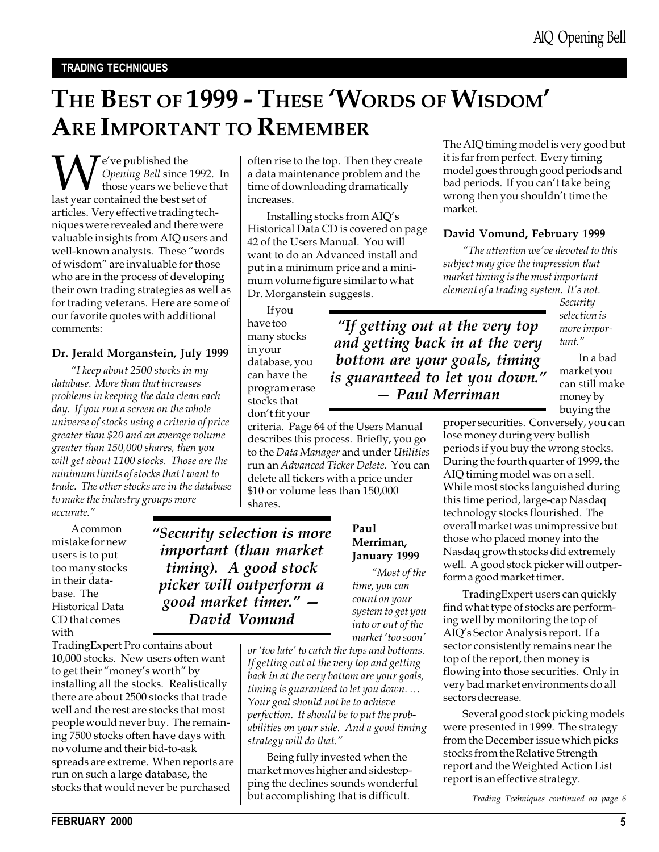#### TRADING TECHNIQUES

## THE BEST OF 1999 - THESE 'WORDS OF WISDOM' ARE IMPORTANT TO REMEMBER

**W** Cycle published the<br>those years we believe<br>last year contained the best set of Opening Bell since 1992. In those years we believe that articles. Very effective trading techniques were revealed and there were valuable insights from AIQ users and well-known analysts. These "words of wisdom" are invaluable for those who are in the process of developing their own trading strategies as well as for trading veterans. Here are some of our favorite quotes with additional comments:

#### Dr. Jerald Morganstein, July 1999

I keep about 2500 stocks in my database. More than that increases problems in keeping the data clean each day. If you run a screen on the whole universe of stocks using a criteria of price greater than \$20 and an average volume greater than 150,000 shares, then you will get about 1100 stocks. Those are the minimum limits of stocks that I want to trade. The other stocks are in the database to make the industry groups more accurate.

A common mistake for new users is to put too many stocks in their database. The Historical Data CD that comes with

TradingExpert Pro contains about 10,000 stocks. New users often want to get their "money's worth" by installing all the stocks. Realistically there are about 2500 stocks that trade well and the rest are stocks that most people would never buy. The remaining 7500 stocks often have days with no volume and their bid-to-ask spreads are extreme. When reports are run on such a large database, the stocks that would never be purchased

often rise to the top. Then they create a data maintenance problem and the time of downloading dramatically increases.

Installing stocks from AIQ's Historical Data CD is covered on page 42 of the Users Manual. You will want to do an Advanced install and put in a minimum price and a minimum volume figure similar to what Dr. Morganstein suggests.

criteria. Page 64 of the Users Manual describes this process. Briefly, you go to the Data Manager and under Utilities run an Advanced Ticker Delete. You can delete all tickers with a price under \$10 or volume less than 150,000

If you have too many stocks in your database, you can have the program erase stocks that don't fit your

"If getting out at the very top and getting back in at the very bottom are your goals, timing is guaranteed to let you down. Paul Merriman

The AIQ timing model is very good but it is far from perfect. Every timing model goes through good periods and bad periods. If you can't take being wrong then you shouldn't time the market.

#### David Vomund, February 1999

"The attention we've devoted to this subject may give the impression that market timing is the most important element of a trading system. It's not.

**Security** selection is more important.

In a bad market you can still make money by buying the

proper securities. Conversely, you can lose money during very bullish periods if you buy the wrong stocks. During the fourth quarter of 1999, the AIQ timing model was on a sell. While most stocks languished during this time period, large-cap Nasdaq technology stocks flourished. The overall market was unimpressive but those who placed money into the Nasdaq growth stocks did extremely well. A good stock picker will outperform a good market timer.

TradingExpert users can quickly find what type of stocks are performing well by monitoring the top of AIQ's Sector Analysis report. If a sector consistently remains near the top of the report, then money is flowing into those securities. Only in very bad market environments do all sectors decrease.

Several good stock picking models were presented in 1999. The strategy from the December issue which picks stocks from the Relative Strength report and the Weighted Action List report is an effective strategy.

Trading Tcehniques continued on page 6

Security selection is more important (than market timing). A good stock picker will outperform a good market timer. David Vomund

shares.

Paul Merriman, January 1999 Most of the

time, you can count on your system to get you into or out of the market 'too soon'

or 'too late' to catch the tops and bottoms. If getting out at the very top and getting back in at the very bottom are your goals, timing is guaranteed to let you down. Your goal should not be to achieve perfection. It should be to put the probabilities on your side. And a good timing strategy will do that.

Being fully invested when the market moves higher and sidestepping the declines sounds wonderful but accomplishing that is difficult.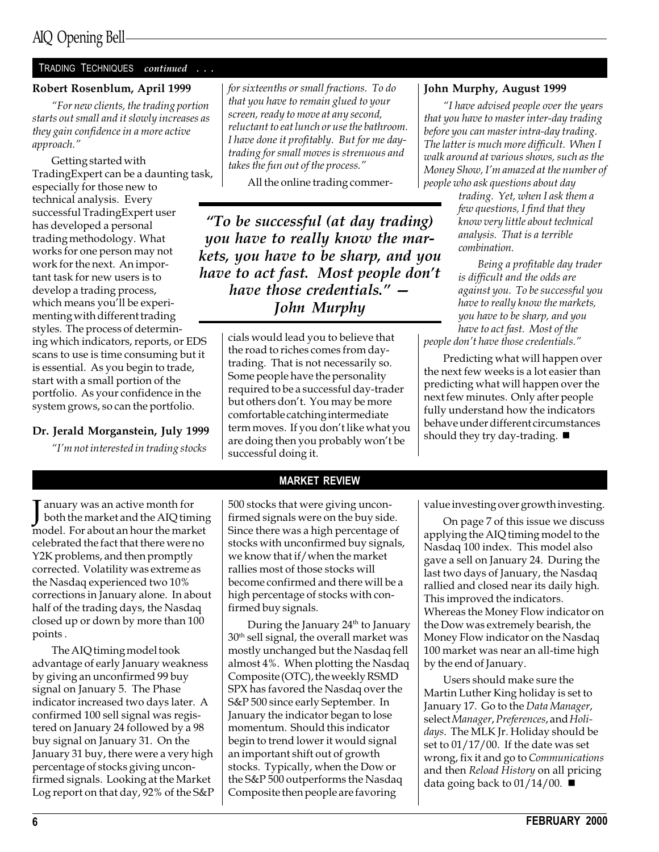#### TRADING TECHNIQUES continued . . .

#### Robert Rosenblum, April 1999

For new clients, the trading portion starts out small and it slowly increases as they gain confidence in a more active approach.

Getting started with TradingExpert can be a daunting task, especially for those new to technical analysis. Every successful TradingExpert user has developed a personal trading methodology. What works for one person may not work for the next. An important task for new users is to develop a trading process, which means you'll be experimenting with different trading styles. The process of determining which indicators, reports, or EDS scans to use is time consuming but it is essential. As you begin to trade, start with a small portion of the portfolio. As your confidence in the system grows, so can the portfolio.

#### Dr. Jerald Morganstein, July 1999

anuary was an active month for

Im not interested in trading stocks

for sixteenths or small fractions. To do that you have to remain glued to your screen, ready to move at any second, reluctant to eat lunch or use the bathroom. I have done it profitably. But for me daytrading for small moves is strenuous and takes the fun out of the process."

All the online trading commer-

To be successful (at day trading) you have to really know the markets, you have to be sharp, and you have to act fast. Most people don't have those credentials."  $-$ John Murphy

> cials would lead you to believe that the road to riches comes from daytrading. That is not necessarily so. Some people have the personality required to be a successful day-trader but others don't. You may be more comfortable catching intermediate term moves. If you don't like what you are doing then you probably won't be successful doing it.

#### MARKET REVIEW

500 stocks that were giving unconfirmed signals were on the buy side. Since there was a high percentage of stocks with unconfirmed buy signals, we know that if/when the market rallies most of those stocks will become confirmed and there will be a high percentage of stocks with confirmed buy signals.

During the January 24<sup>th</sup> to January 30<sup>th</sup> sell signal, the overall market was mostly unchanged but the Nasdaq fell almost 4%. When plotting the Nasdaq Composite (OTC), the weekly RSMD SPX has favored the Nasdaq over the S&P 500 since early September. In January the indicator began to lose momentum. Should this indicator begin to trend lower it would signal an important shift out of growth stocks. Typically, when the Dow or the S&P 500 outperforms the Nasdaq Composite then people are favoring

#### John Murphy, August 1999

"I have advised people over the years that you have to master inter-day trading before you can master intra-day trading. The latter is much more difficult. When I walk around at various shows, such as the Money Show, I'm amazed at the number of people who ask questions about day

trading. Yet, when I ask them a few questions, I find that they know very little about technical analysis. That is a terrible combination.

Being a profitable day trader is difficult and the odds are against you. To be successful you have to really know the markets, you have to be sharp, and you have to act fast. Most of the people don't have those credentials."

Predicting what will happen over the next few weeks is a lot easier than predicting what will happen over the next few minutes. Only after people fully understand how the indicators behave under different circumstances should they try day-trading.  $\blacksquare$ 

value investing over growth investing.

On page 7 of this issue we discuss applying the AIQ timing model to the Nasdaq 100 index. This model also gave a sell on January 24. During the last two days of January, the Nasdaq rallied and closed near its daily high. This improved the indicators. Whereas the Money Flow indicator on the Dow was extremely bearish, the Money Flow indicator on the Nasdaq 100 market was near an all-time high by the end of January.

Users should make sure the Martin Luther King holiday is set to January 17. Go to the Data Manager, select Manager, Preferences, and Holidays. The MLK Jr. Holiday should be set to 01/17/00. If the date was set wrong, fix it and go to Communications and then Reload History on all pricing data going back to  $01/14/00$ .

January was an active month for<br>both the market and the AIQ timin<br>model. For about an hour the market both the market and the AIQ timing celebrated the fact that there were no Y2K problems, and then promptly corrected. Volatility was extreme as the Nasdaq experienced two 10% corrections in January alone. In about half of the trading days, the Nasdaq closed up or down by more than 100 points .

The AIQ timing model took advantage of early January weakness by giving an unconfirmed 99 buy signal on January 5. The Phase indicator increased two days later. A confirmed 100 sell signal was registered on January 24 followed by a 98 buy signal on January 31. On the January 31 buy, there were a very high percentage of stocks giving unconfirmed signals. Looking at the Market Log report on that day, 92% of the S&P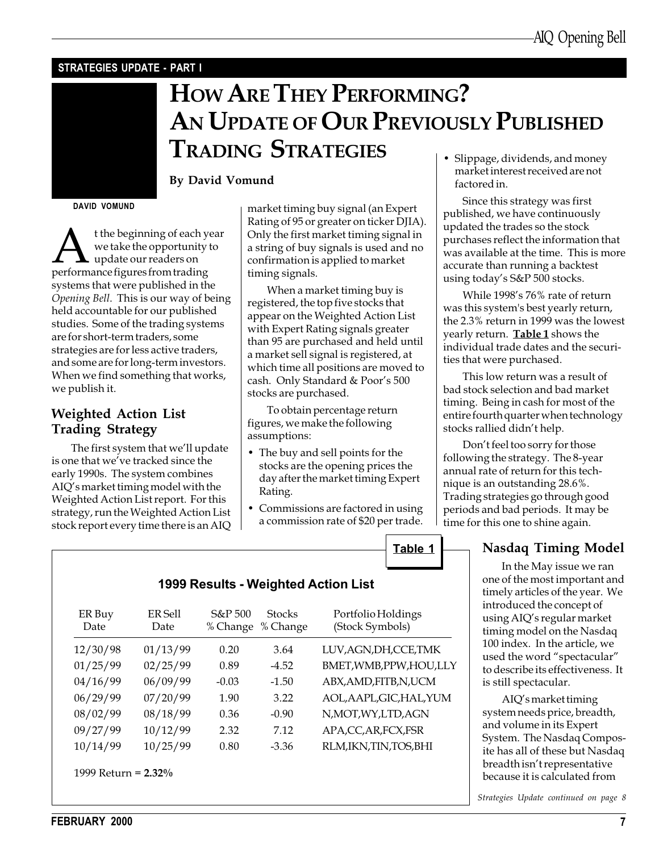#### STRATEGIES UPDATE - PART I

# HOW ARE THEY PERFORMING? AN UPDATE OF OUR PREVIOUSLY PUBLISHED TRADING STRATEGIES

#### By David Vomund

DAVID VOMUND

**A** the beginning of each year<br>we take the opportunity to<br>performance figures from trading we take the opportunity to update our readers on systems that were published in the Opening Bell. This is our way of being held accountable for our published studies. Some of the trading systems are for short-term traders, some strategies are for less active traders, and some are for long-term investors. When we find something that works, we publish it.

### Weighted Action List Trading Strategy

The first system that we'll update is one that we've tracked since the early 1990s. The system combines AIQ's market timing model with the Weighted Action List report. For this strategy, run the Weighted Action List stock report every time there is an AIQ market timing buy signal (an Expert Rating of 95 or greater on ticker DJIA). Only the first market timing signal in a string of buy signals is used and no confirmation is applied to market timing signals.

When a market timing buy is registered, the top five stocks that appear on the Weighted Action List with Expert Rating signals greater than 95 are purchased and held until a market sell signal is registered, at which time all positions are moved to cash. Only Standard & Poor's 500 stocks are purchased.

To obtain percentage return figures, we make the following assumptions:

- The buy and sell points for the stocks are the opening prices the day after the market timing Expert Rating.
- Commissions are factored in using a commission rate of \$20 per trade.

Table 1

 Slippage, dividends, and money market interest received are not factored in.

Since this strategy was first published, we have continuously updated the trades so the stock purchases reflect the information that was available at the time. This is more accurate than running a backtest using today's S&P 500 stocks.

While 1998's 76% rate of return was this system's best yearly return, the 2.3% return in 1999 was the lowest yearly return. Table 1 shows the individual trade dates and the securities that were purchased.

This low return was a result of bad stock selection and bad market timing. Being in cash for most of the entire fourth quarter when technology stocks rallied didn't help.

Don't feel too sorry for those following the strategy. The 8-year annual rate of return for this technique is an outstanding 28.6%. Trading strategies go through good periods and bad periods. It may be time for this one to shine again.

## Nasdaq Timing Model

In the May issue we ran one of the most important and timely articles of the year. We introduced the concept of using AIQ's regular market timing model on the Nasdaq 100 index. In the article, we used the word "spectacular" to describe its effectiveness. It is still spectacular.

AIQ's market timing system needs price, breadth, and volume in its Expert System. The Nasdaq Composite has all of these but Nasdaq breadth isn't representative because it is calculated from

Strategies Update continued on page 8

| ER Buy<br>Date | ER Sell<br>Date | $S\&P500$<br>% Change | <b>Stocks</b><br>% Change | Portfolio Holdings<br>(Stock Symbols) |
|----------------|-----------------|-----------------------|---------------------------|---------------------------------------|
| 12/30/98       | 01/13/99        | 0.20                  | 3.64                      | LUV, AGN, DH, CCE, TMK                |
| 01/25/99       | 02/25/99        | 0.89                  | $-4.52$                   | BMET, WMB, PPW, HOU, LLY              |
| 04/16/99       | 06/09/99        | $-0.03$               | $-1.50$                   | ABX, AMD, FITB, N, UCM                |
| 06/29/99       | 07/20/99        | 1.90                  | 3.22                      | AOL, AAPL, GIC, HAL, YUM              |
| 08/02/99       | 08/18/99        | 0.36                  | $-0.90$                   | N, MOT, WY, LTD, AGN                  |
| 09/27/99       | 10/12/99        | 2.32                  | 7.12                      | APA,CC,AR,FCX,FSR                     |
| 10/14/99       | 10/25/99        | 0.80                  | $-3.36$                   | RLM, IKN, TIN, TOS, BHI               |
|                |                 |                       |                           |                                       |

1999 Results - Weighted Action List

1999 Return = 2.32%